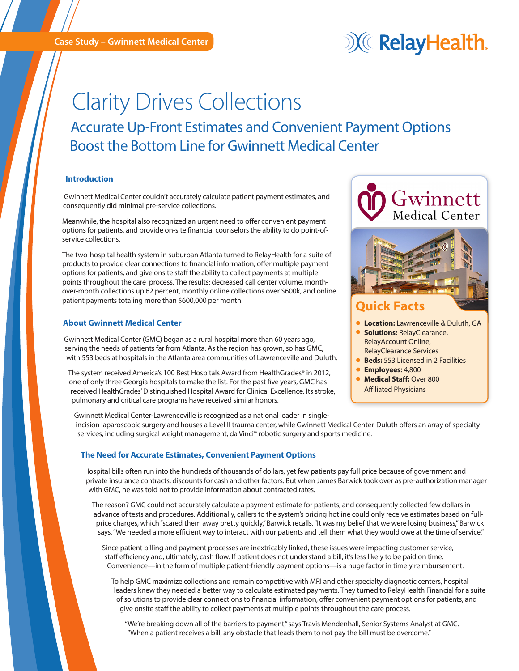**Case Study – Gwinnett Medical Center** 

## X RelayHealth.

# Clarity Drives Collections

Accurate Up-Front Estimates and Convenient Payment Options Boost the Bottom Line for Gwinnett Medical Center

### **Introduction**

Gwinnett Medical Center couldn't accurately calculate patient payment estimates, and consequently did minimal pre-service collections.

Meanwhile, the hospital also recognized an urgent need to offer convenient payment options for patients, and provide on-site financial counselors the ability to do point-ofservice collections.

The two-hospital health system in suburban Atlanta turned to RelayHealth for a suite of products to provide clear connections to financial information, offer multiple payment options for patients, and give onsite staff the ability to collect payments at multiple points throughout the care process. The results: decreased call center volume, monthover-month collections up 62 percent, monthly online collections over \$600k, and online patient payments totaling more than \$600,000 per month.

### **About Gwinnett Medical Center**

Gwinnett Medical Center (GMC) began as a rural hospital more than 60 years ago, serving the needs of patients far from Atlanta. As the region has grown, so has GMC, with 553 beds at hospitals in the Atlanta area communities of Lawrenceville and Duluth.

The system received America's 100 Best Hospitals Award from HealthGrades® in 2012, one of only three Georgia hospitals to make the list. For the past five years, GMC has received HealthGrades' Distinguished Hospital Award for Clinical Excellence. Its stroke, pulmonary and critical care programs have received similar honors.



Gwinnett Medical Center-Lawrenceville is recognized as a national leader in singleincision laparoscopic surgery and houses a Level II trauma center, while Gwinnett Medical Center-Duluth offers an array of specialty services, including surgical weight management, da Vinci® robotic surgery and sports medicine.

#### **The Need for Accurate Estimates, Convenient Payment Options**

Hospital bills often run into the hundreds of thousands of dollars, yet few patients pay full price because of government and private insurance contracts, discounts for cash and other factors. But when James Barwick took over as pre-authorization manager with GMC, he was told not to provide information about contracted rates.

The reason? GMC could not accurately calculate a payment estimate for patients, and consequently collected few dollars in advance of tests and procedures. Additionally, callers to the system's pricing hotline could only receive estimates based on fullprice charges, which "scared them away pretty quickly," Barwick recalls. "It was my belief that we were losing business," Barwick says. "We needed a more efficient way to interact with our patients and tell them what they would owe at the time of service."

Since patient billing and payment processes are inextricably linked, these issues were impacting customer service, staff efficiency and, ultimately, cash flow. If patient does not understand a bill, it's less likely to be paid on time. Convenience—in the form of multiple patient-friendly payment options—is a huge factor in timely reimbursement.

To help GMC maximize collections and remain competitive with MRI and other specialty diagnostic centers, hospital leaders knew they needed a better way to calculate estimated payments. They turned to RelayHealth Financial for a suite of solutions to provide clear connections to financial information, offer convenient payment options for patients, and give onsite staff the ability to collect payments at multiple points throughout the care process.

"We're breaking down all of the barriers to payment," says Travis Mendenhall, Senior Systems Analyst at GMC. "When a patient receives a bill, any obstacle that leads them to not pay the bill must be overcome."